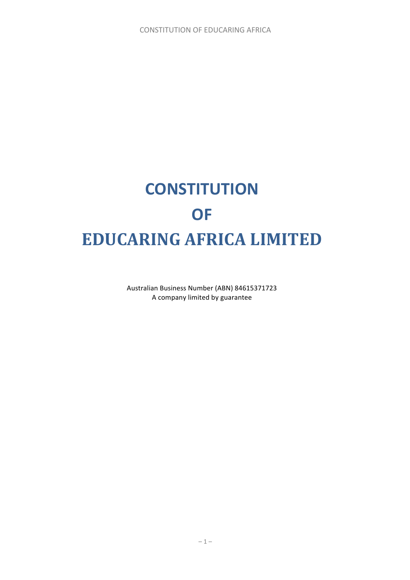# **CONSTITUTION OF EDUCARING AFRICA LIMITED**

Australian Business Number (ABN) 84615371723 A company limited by guarantee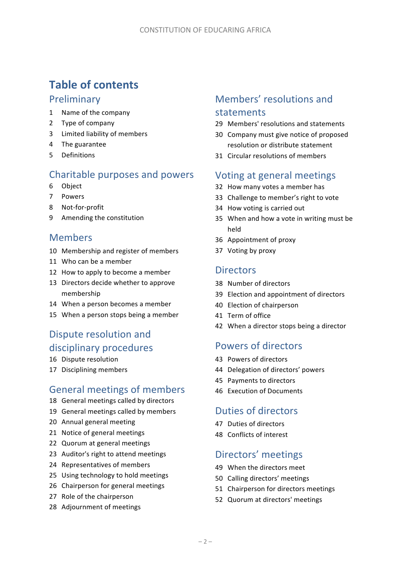# **Table of contents**

# Preliminary

- 1 Name of the company
- 2 Type of company
- 3 Limited liability of members
- 4 The guarantee
- 5 Definitions

# Charitable purposes and powers

- 6 Object
- 7 Powers
- 8 Not-for-profit
- 9 Amending the constitution

# Members

- 10 Membership and register of members
- 11 Who can be a member
- 12 How to apply to become a member
- 13 Directors decide whether to approve membership
- 14 When a person becomes a member
- 15 When a person stops being a member

# Dispute resolution and disciplinary procedures

- 16 Dispute resolution
- 17 Disciplining members

# General meetings of members

- 18 General meetings called by directors
- 19 General meetings called by members
- 20 Annual general meeting
- 21 Notice of general meetings
- 22 Quorum at general meetings
- 23 Auditor's right to attend meetings
- 24 Representatives of members
- 25 Using technology to hold meetings
- 26 Chairperson for general meetings
- 27 Role of the chairperson
- 28 Adjournment of meetings

# Members' resolutions and statements

- 29 Members' resolutions and statements
- 30 Company must give notice of proposed resolution or distribute statement
- 31 Circular resolutions of members

# Voting at general meetings

- 32 How many votes a member has
- 33 Challenge to member's right to vote
- 34 How voting is carried out
- 35 When and how a vote in writing must be held
- 36 Appointment of proxy
- 37 Voting by proxy

# **Directors**

- 38 Number of directors
- 39 Election and appointment of directors
- 40 Election of chairperson
- 41 Term of office
- 42 When a director stops being a director

# Powers of directors

- 43 Powers of directors
- 44 Delegation of directors' powers
- 45 Payments to directors
- 46 Execution of Documents

# Duties of directors

- 47 Duties of directors
- 48 Conflicts of interest

# Directors' meetings

- 49 When the directors meet
- 50 Calling directors' meetings
- 51 Chairperson for directors meetings
- 52 Quorum at directors' meetings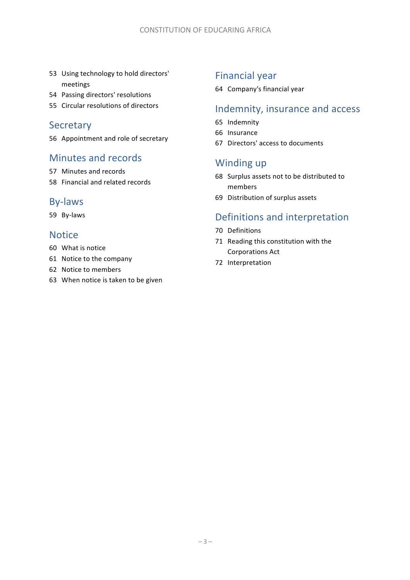- 53 Using technology to hold directors' meetings
- 54 Passing directors' resolutions
- 55 Circular resolutions of directors

# **Secretary**

56 Appointment and role of secretary

# Minutes and records

- 57 Minutes and records
- 58 Financial and related records

# By-laws

59 By-laws

# **Notice**

- 60 What is notice
- 61 Notice to the company
- 62 Notice to members
- 63 When notice is taken to be given

# Financial year

64 Company's financial year

# Indemnity, insurance and access

- 65 Indemnity
- 66 Insurance
- 67 Directors' access to documents

# Winding up

- 68 Surplus assets not to be distributed to members
- 69 Distribution of surplus assets

# Definitions and interpretation

- 70 Definitions
- 71 Reading this constitution with the Corporations Act
- 72 Interpretation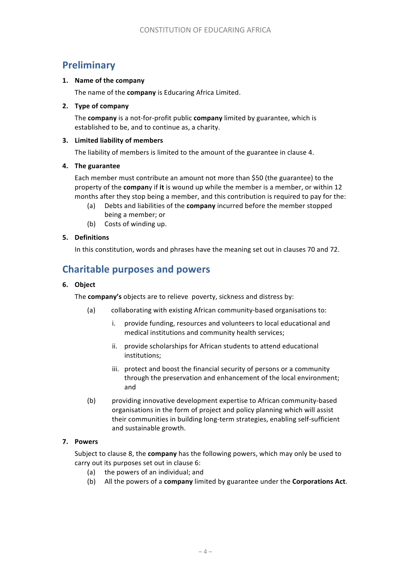# **Preliminary**

### 1. Name of the company

The name of the **company** is Educaring Africa Limited.

### **2. Type of company**

The **company** is a not-for-profit public **company** limited by guarantee, which is established to be, and to continue as, a charity.

### **3. Limited liability of members**

The liability of members is limited to the amount of the guarantee in clause 4.

### **4. The guarantee**

Each member must contribute an amount not more than \$50 (the guarantee) to the property of the **compan**y if it is wound up while the member is a member, or within 12 months after they stop being a member, and this contribution is required to pay for the:

- (a) Debts and liabilities of the **company** incurred before the member stopped being a member; or
- (b) Costs of winding up.

# **5. Definitions**

In this constitution, words and phrases have the meaning set out in clauses 70 and 72.

# **Charitable purposes and powers**

### **6. Object**

The **company's** objects are to relieve poverty, sickness and distress by:

- (a) collaborating with existing African community-based organisations to:
	- i. provide funding, resources and volunteers to local educational and medical institutions and community health services;
	- ii. provide scholarships for African students to attend educational institutions;
	- iii. protect and boost the financial security of persons or a community through the preservation and enhancement of the local environment; and
- (b) providing innovative development expertise to African community-based organisations in the form of project and policy planning which will assist their communities in building long-term strategies, enabling self-sufficient and sustainable growth.

# **7. Powers**

Subject to clause 8, the **company** has the following powers, which may only be used to carry out its purposes set out in clause 6:

- (a) the powers of an individual; and
- (b) All the powers of a **company** limited by guarantee under the **Corporations Act**.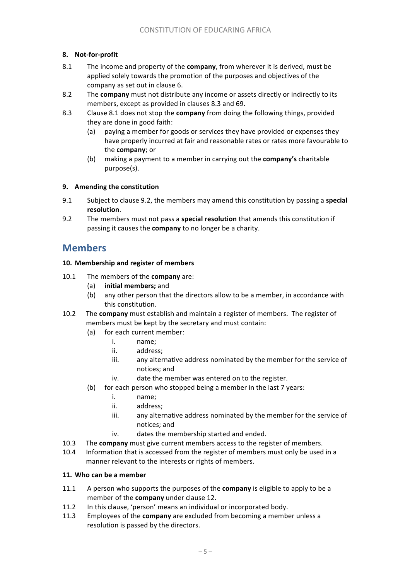# **8. Not-for-profit**

- 8.1 The income and property of the **company**, from wherever it is derived, must be applied solely towards the promotion of the purposes and objectives of the company as set out in clause 6.
- 8.2 The **company** must not distribute any income or assets directly or indirectly to its members, except as provided in clauses 8.3 and 69.
- 8.3 Clause 8.1 does not stop the **company** from doing the following things, provided they are done in good faith:
	- (a) paying a member for goods or services they have provided or expenses they have properly incurred at fair and reasonable rates or rates more favourable to the **company**; or
	- (b) making a payment to a member in carrying out the **company's** charitable purpose(s).

# **9.** Amending the constitution

- 9.1 Subject to clause 9.2, the members may amend this constitution by passing a **special resolution**.
- 9.2 The members must not pass a **special resolution** that amends this constitution if passing it causes the **company** to no longer be a charity.

# **Members**

# **10. Membership and register of members**

- 10.1 The members of the **company** are:
	- (a) **initial members;** and
	- (b) any other person that the directors allow to be a member, in accordance with this constitution.
- 10.2 The **company** must establish and maintain a register of members. The register of members must be kept by the secretary and must contain:
	- (a) for each current member:
		- i. name;
		- ii. address;
		- iii. any alternative address nominated by the member for the service of notices; and
		- iv. date the member was entered on to the register.
	- (b) for each person who stopped being a member in the last 7 years:
		- i. name;
		- ii. address;
		- iii. any alternative address nominated by the member for the service of notices; and
		- iv. dates the membership started and ended.
- 10.3 The **company** must give current members access to the register of members.
- 10.4 Information that is accessed from the register of members must only be used in a manner relevant to the interests or rights of members.

### 11. Who can be a member

- 11.1 A person who supports the purposes of the **company** is eligible to apply to be a member of the **company** under clause 12.
- 11.2 In this clause, 'person' means an individual or incorporated body.
- 11.3 Employees of the **company** are excluded from becoming a member unless a resolution is passed by the directors.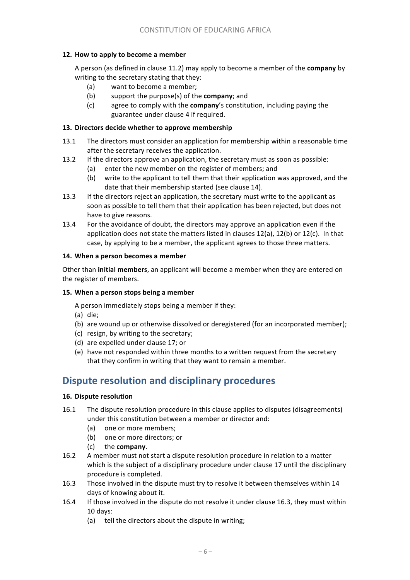# **12. How to apply to become a member**

A person (as defined in clause 11.2) may apply to become a member of the **company** by writing to the secretary stating that they:

- (a) want to become a member;
- (b) support the purpose(s) of the **company**; and
- (c) agree to comply with the **company**'s constitution, including paying the guarantee under clause 4 if required.

### 13. Directors decide whether to approve membership

- 13.1 The directors must consider an application for membership within a reasonable time after the secretary receives the application.
- 13.2 If the directors approve an application, the secretary must as soon as possible:
	- (a) enter the new member on the register of members; and
	- (b) write to the applicant to tell them that their application was approved, and the date that their membership started (see clause 14).
- 13.3 If the directors reject an application, the secretary must write to the applicant as soon as possible to tell them that their application has been rejected, but does not have to give reasons.
- 13.4 For the avoidance of doubt, the directors may approve an application even if the application does not state the matters listed in clauses  $12(a)$ ,  $12(b)$  or  $12(c)$ . In that case, by applying to be a member, the applicant agrees to those three matters.

### **14. When a person becomes a member**

Other than **initial members**, an applicant will become a member when they are entered on the register of members.

### 15. When a person stops being a member

A person immediately stops being a member if they:

- (a) die;
- (b) are wound up or otherwise dissolved or deregistered (for an incorporated member);
- (c) resign, by writing to the secretary;
- (d) are expelled under clause 17; or
- (e) have not responded within three months to a written request from the secretary that they confirm in writing that they want to remain a member.

# **Dispute resolution and disciplinary procedures**

### **16.** Dispute resolution

- 16.1 The dispute resolution procedure in this clause applies to disputes (disagreements) under this constitution between a member or director and:
	- (a) one or more members;
	- (b) one or more directors; or
	- (c) the **company**.
- 16.2 A member must not start a dispute resolution procedure in relation to a matter which is the subject of a disciplinary procedure under clause 17 until the disciplinary procedure is completed.
- 16.3 Those involved in the dispute must try to resolve it between themselves within 14 days of knowing about it.
- 16.4 If those involved in the dispute do not resolve it under clause 16.3, they must within 10 days:
	- (a) tell the directors about the dispute in writing;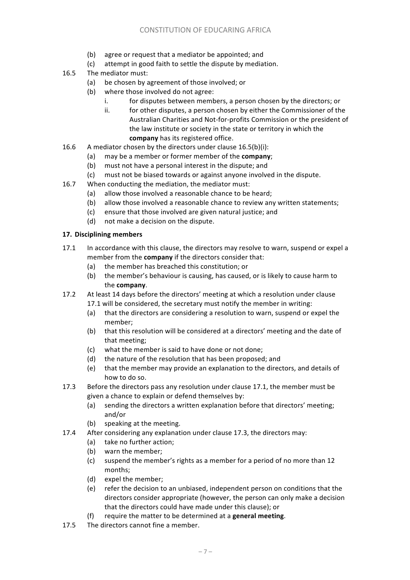- (b) agree or request that a mediator be appointed; and
- (c) attempt in good faith to settle the dispute by mediation.
- 16.5 The mediator must:
	- (a) be chosen by agreement of those involved: or
	- (b) where those involved do not agree:
		- i. for disputes between members, a person chosen by the directors; or
		- ii. for other disputes, a person chosen by either the Commissioner of the Australian Charities and Not-for-profits Commission or the president of the law institute or society in the state or territory in which the **company** has its registered office.
- 16.6 A mediator chosen by the directors under clause  $16.5(b)(i)$ :
	- (a) may be a member or former member of the **company**:
	- (b) must not have a personal interest in the dispute; and
	- (c) must not be biased towards or against anyone involved in the dispute.
- 16.7 When conducting the mediation, the mediator must:
	- (a) allow those involved a reasonable chance to be heard;
	- (b) allow those involved a reasonable chance to review any written statements;
	- (c) ensure that those involved are given natural justice; and
	- (d) not make a decision on the dispute.

### **17. Disciplining members**

- 17.1 In accordance with this clause, the directors may resolve to warn, suspend or expel a member from the **company** if the directors consider that:
	- (a) the member has breached this constitution; or
	- (b) the member's behaviour is causing, has caused, or is likely to cause harm to the **company**.
- 17.2 At least 14 days before the directors' meeting at which a resolution under clause 17.1 will be considered, the secretary must notify the member in writing:
	- (a) that the directors are considering a resolution to warn, suspend or expel the member;
	- (b) that this resolution will be considered at a directors' meeting and the date of that meeting;
	- (c) what the member is said to have done or not done;
	- (d) the nature of the resolution that has been proposed; and
	- (e) that the member may provide an explanation to the directors, and details of how to do so.
- 17.3 Before the directors pass any resolution under clause 17.1, the member must be given a chance to explain or defend themselves by:
	- (a) sending the directors a written explanation before that directors' meeting; and/or
	- (b) speaking at the meeting.
- 17.4 After considering any explanation under clause 17.3, the directors may:
	- (a) take no further action:
	- (b) warn the member;
	- (c) suspend the member's rights as a member for a period of no more than 12 months;
	- (d) expel the member:
	- (e) refer the decision to an unbiased, independent person on conditions that the directors consider appropriate (however, the person can only make a decision that the directors could have made under this clause); or
	- (f) require the matter to be determined at a **general meeting**.
- 17.5 The directors cannot fine a member.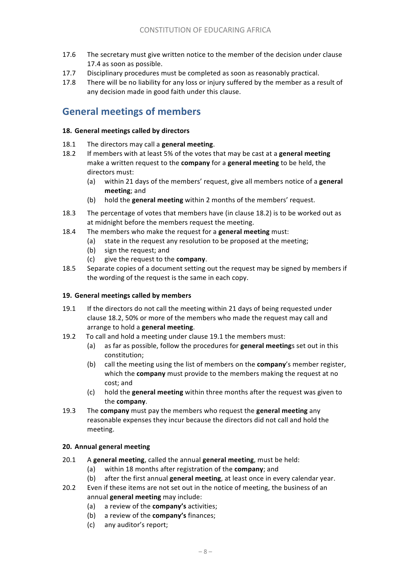- 17.6 The secretary must give written notice to the member of the decision under clause 17.4 as soon as possible.
- 17.7 Disciplinary procedures must be completed as soon as reasonably practical.
- 17.8 There will be no liability for any loss or iniury suffered by the member as a result of any decision made in good faith under this clause.

# **General meetings of members**

#### 18. General meetings called by directors

- 18.1 The directors may call a **general meeting**.
- 18.2 If members with at least 5% of the votes that may be cast at a **general meeting** make a written request to the **company** for a **general meeting** to be held, the directors must:
	- (a) within 21 days of the members' request, give all members notice of a **general meeting**; and
	- (b) hold the **general meeting** within 2 months of the members' request.
- 18.3 The percentage of votes that members have (in clause 18.2) is to be worked out as at midnight before the members request the meeting.
- 18.4 The members who make the request for a **general meeting** must:
	- (a) state in the request any resolution to be proposed at the meeting;
	- (b) sign the request; and
	- (c) give the request to the **company**.
- 18.5 Separate copies of a document setting out the request may be signed by members if the wording of the request is the same in each copy.

### 19. General meetings called by members

- 19.1 If the directors do not call the meeting within 21 days of being requested under clause 18.2, 50% or more of the members who made the request may call and arrange to hold a **general meeting**.
- 19.2 To call and hold a meeting under clause 19.1 the members must:
	- (a) as far as possible, follow the procedures for **general meeting**s set out in this constitution;
	- (b) call the meeting using the list of members on the **company**'s member register, which the **company** must provide to the members making the request at no cost: and
	- (c) hold the **general meeting** within three months after the request was given to the **company**.
- 19.3 The **company** must pay the members who request the **general meeting** any reasonable expenses they incur because the directors did not call and hold the meeting.

### **20. Annual general meeting**

- 20.1 A **general meeting**, called the annual **general meeting**, must be held:
	- (a) within 18 months after registration of the **company**; and
	- (b) after the first annual **general meeting**, at least once in every calendar year.
- 20.2 Even if these items are not set out in the notice of meeting, the business of an annual **general meeting** may include:
	- (a) a review of the **company's** activities;
	- (b) a review of the **company's** finances;
	- (c) any auditor's report;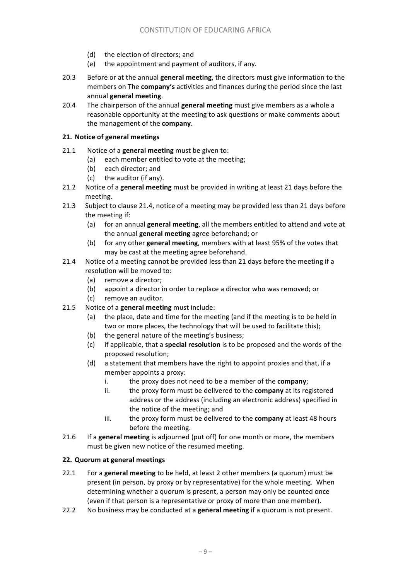- (d) the election of directors; and
- (e) the appointment and payment of auditors, if any.
- 20.3 Before or at the annual **general meeting**, the directors must give information to the members on The **company's** activities and finances during the period since the last annual **general meeting**.
- 20.4 The chairperson of the annual **general meeting** must give members as a whole a reasonable opportunity at the meeting to ask questions or make comments about the management of the **company**.

# **21. Notice of general meetings**

- 21.1 Notice of a **general meeting** must be given to:
	- (a) each member entitled to vote at the meeting;
	- (b) each director; and
	- $(c)$  the auditor (if any).
- 21.2 Notice of a **general meeting** must be provided in writing at least 21 days before the meeting.
- 21.3 Subject to clause 21.4, notice of a meeting may be provided less than 21 days before the meeting if:
	- (a) for an annual **general meeting**, all the members entitled to attend and vote at the annual **general meeting** agree beforehand; or
	- (b) for any other **general meeting**, members with at least 95% of the votes that may be cast at the meeting agree beforehand.
- 21.4 Notice of a meeting cannot be provided less than 21 days before the meeting if a resolution will be moved to:
	- (a) remove a director;
	- (b) appoint a director in order to replace a director who was removed; or
	- (c) remove an auditor.
- 21.5 Notice of a **general meeting** must include:
	- (a) the place, date and time for the meeting (and if the meeting is to be held in two or more places, the technology that will be used to facilitate this);
	- (b) the general nature of the meeting's business;
	- (c) if applicable, that a **special resolution** is to be proposed and the words of the proposed resolution;
	- (d) a statement that members have the right to appoint proxies and that, if a member appoints a proxy:
		- i. the proxy does not need to be a member of the **company**;
		- ii. the proxy form must be delivered to the **company** at its registered address or the address (including an electronic address) specified in the notice of the meeting; and
		- iii. the proxy form must be delivered to the **company** at least 48 hours before the meeting.
- 21.6 If a **general meeting** is adjourned (put off) for one month or more, the members must be given new notice of the resumed meeting.

# **22. Quorum at general meetings**

- 22.1 For a **general meeting** to be held, at least 2 other members (a quorum) must be present (in person, by proxy or by representative) for the whole meeting. When determining whether a quorum is present, a person may only be counted once (even if that person is a representative or proxy of more than one member).
- 22.2 No business may be conducted at a **general meeting** if a quorum is not present.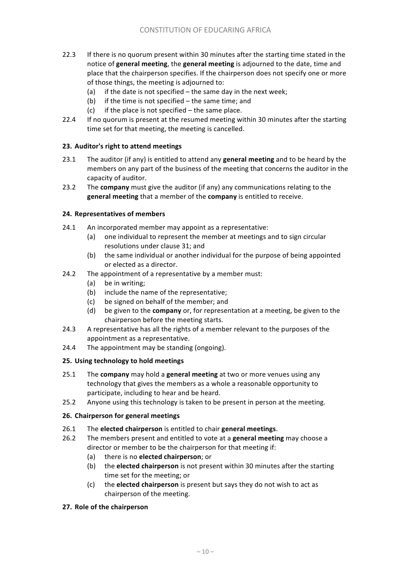- 22.3 If there is no quorum present within 30 minutes after the starting time stated in the notice of **general meeting**, the **general meeting** is adjourned to the date, time and place that the chairperson specifies. If the chairperson does not specify one or more of those things, the meeting is adiourned to:
	- (a) if the date is not specified  $-$  the same day in the next week;
	- (b) if the time is not specified  $-$  the same time; and
	- (c) if the place is not specified  $-$  the same place.
- 22.4 If no quorum is present at the resumed meeting within 30 minutes after the starting time set for that meeting, the meeting is cancelled.

# **23. Auditor's right to attend meetings**

- 23.1 The auditor (if any) is entitled to attend any **general meeting** and to be heard by the members on any part of the business of the meeting that concerns the auditor in the capacity of auditor.
- 23.2 The **company** must give the auditor (if any) any communications relating to the **general meeting** that a member of the **company** is entitled to receive.

# **24. Representatives of members**

- 24.1 An incorporated member may appoint as a representative:
	- (a) one individual to represent the member at meetings and to sign circular resolutions under clause 31; and
	- (b) the same individual or another individual for the purpose of being appointed or elected as a director.
- 24.2 The appointment of a representative by a member must:
	- $(a)$  be in writing;
	- (b) include the name of the representative;
	- (c) be signed on behalf of the member; and
	- (d) be given to the **company** or, for representation at a meeting, be given to the chairperson before the meeting starts.
- 24.3 A representative has all the rights of a member relevant to the purposes of the appointment as a representative.
- 24.4 The appointment may be standing (ongoing).

### **25. Using technology to hold meetings**

- 25.1 The **company** may hold a **general meeting** at two or more venues using any technology that gives the members as a whole a reasonable opportunity to participate, including to hear and be heard.
- 25.2 Anyone using this technology is taken to be present in person at the meeting.

# **26. Chairperson for general meetings**

- 26.1 The **elected chairperson** is entitled to chair **general meetings.**
- 26.2 The members present and entitled to vote at a **general meeting** may choose a director or member to be the chairperson for that meeting if:
	- (a) there is no **elected chairperson**; or
	- (b) the **elected chairperson** is not present within 30 minutes after the starting time set for the meeting; or
	- (c) the **elected chairperson** is present but says they do not wish to act as chairperson of the meeting.

### **27. Role of the chairperson**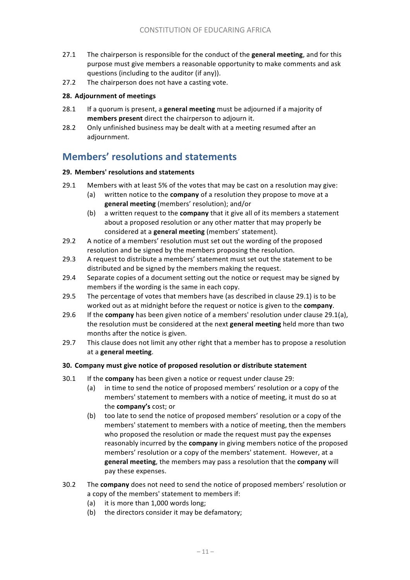- 27.1 The chairperson is responsible for the conduct of the **general meeting**, and for this purpose must give members a reasonable opportunity to make comments and ask questions (including to the auditor (if any)).
- 27.2 The chairperson does not have a casting vote.

### **28. Adjournment of meetings**

- 28.1 If a quorum is present, a **general meeting** must be adjourned if a majority of **members present** direct the chairperson to adjourn it.
- 28.2 Only unfinished business may be dealt with at a meeting resumed after an adjournment.

# **Members' resolutions and statements**

### **29. Members' resolutions and statements**

- 29.1 Members with at least 5% of the votes that may be cast on a resolution may give:
	- (a) written notice to the **company** of a resolution they propose to move at a **general meeting** (members' resolution); and/or
	- (b) a written request to the **company** that it give all of its members a statement about a proposed resolution or any other matter that may properly be considered at a **general meeting** (members' statement).
- 29.2 A notice of a members' resolution must set out the wording of the proposed resolution and be signed by the members proposing the resolution.
- 29.3 A request to distribute a members' statement must set out the statement to be distributed and be signed by the members making the request.
- 29.4 Separate copies of a document setting out the notice or request may be signed by members if the wording is the same in each copy.
- 29.5 The percentage of votes that members have (as described in clause 29.1) is to be worked out as at midnight before the request or notice is given to the **company**.
- 29.6 If the **company** has been given notice of a members' resolution under clause 29.1(a). the resolution must be considered at the next **general meeting** held more than two months after the notice is given.
- 29.7 This clause does not limit any other right that a member has to propose a resolution at a **general meeting**.

### **30. Company must give notice of proposed resolution or distribute statement**

- 30.1 If the **company** has been given a notice or request under clause 29:
	- (a) in time to send the notice of proposed members' resolution or a copy of the members' statement to members with a notice of meeting, it must do so at the **company's** cost; or
	- (b) too late to send the notice of proposed members' resolution or a copy of the members' statement to members with a notice of meeting, then the members who proposed the resolution or made the request must pay the expenses reasonably incurred by the **company** in giving members notice of the proposed members' resolution or a copy of the members' statement. However, at a general meeting, the members may pass a resolution that the company will pay these expenses.
- 30.2 The **company** does not need to send the notice of proposed members' resolution or a copy of the members' statement to members if:
	- (a) it is more than 1,000 words long;
	- (b) the directors consider it may be defamatory;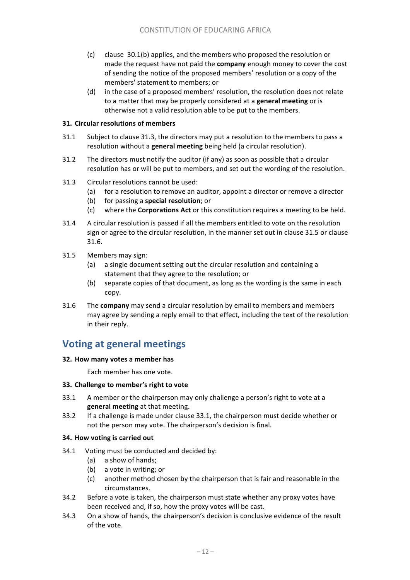- (c) clause 30.1(b) applies, and the members who proposed the resolution or made the request have not paid the **company** enough money to cover the cost of sending the notice of the proposed members' resolution or a copy of the members' statement to members; or
- (d) in the case of a proposed members' resolution, the resolution does not relate to a matter that may be properly considered at a **general meeting** or is otherwise not a valid resolution able to be put to the members.

### **31. Circular resolutions of members**

- 31.1 Subject to clause 31.3, the directors may put a resolution to the members to pass a resolution without a **general meeting** being held (a circular resolution).
- 31.2 The directors must notify the auditor (if any) as soon as possible that a circular resolution has or will be put to members, and set out the wording of the resolution.
- 31.3 Circular resolutions cannot be used:
	- (a) for a resolution to remove an auditor, appoint a director or remove a director
	- (b) for passing a **special resolution**; or
	- (c) where the **Corporations Act** or this constitution requires a meeting to be held.
- 31.4 A circular resolution is passed if all the members entitled to vote on the resolution sign or agree to the circular resolution, in the manner set out in clause 31.5 or clause 31.6.
- 31.5 Members may sign:
	- (a) a single document setting out the circular resolution and containing a statement that they agree to the resolution; or
	- (b) separate copies of that document, as long as the wording is the same in each copy.
- 31.6 The **company** may send a circular resolution by email to members and members may agree by sending a reply email to that effect, including the text of the resolution in their reply.

# **Voting at general meetings**

### **32. How many votes a member has**

Each member has one vote.

### **33. Challenge to member's right to vote**

- 33.1 A member or the chairperson may only challenge a person's right to vote at a **general meeting** at that meeting.
- 33.2 If a challenge is made under clause 33.1, the chairperson must decide whether or not the person may vote. The chairperson's decision is final.

### **34.** How voting is carried out

- 34.1 Voting must be conducted and decided by:
	- (a) a show of hands;
	- (b) a vote in writing; or
	- (c) another method chosen by the chairperson that is fair and reasonable in the circumstances.
- 34.2 Before a vote is taken, the chairperson must state whether any proxy votes have been received and, if so, how the proxy votes will be cast.
- 34.3 On a show of hands, the chairperson's decision is conclusive evidence of the result of the vote.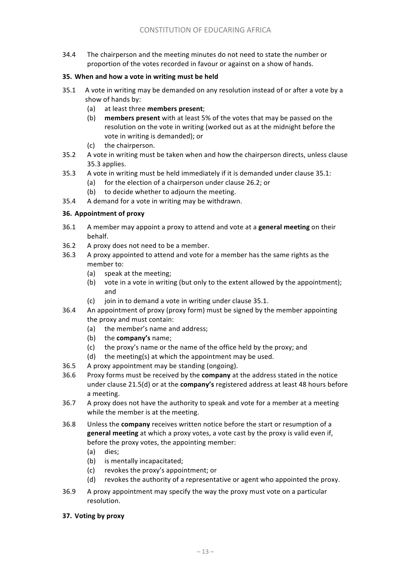34.4 The chairperson and the meeting minutes do not need to state the number or proportion of the votes recorded in favour or against on a show of hands.

### **35.** When and how a vote in writing must be held

- 35.1 A vote in writing may be demanded on any resolution instead of or after a vote by a show of hands by:
	- (a) at least three **members present**;
	- (b) **members present** with at least 5% of the votes that may be passed on the resolution on the vote in writing (worked out as at the midnight before the vote in writing is demanded); or
	- (c) the chairperson.
- 35.2 A vote in writing must be taken when and how the chairperson directs, unless clause 35.3 applies.
- 35.3 A vote in writing must be held immediately if it is demanded under clause 35.1:
	- (a) for the election of a chairperson under clause 26.2; or
	- (b) to decide whether to adjourn the meeting.
- 35.4 A demand for a vote in writing may be withdrawn.

### **36.** Appointment of proxy

- 36.1 A member may appoint a proxy to attend and vote at a **general meeting** on their behalf.
- 36.2 A proxy does not need to be a member.
- 36.3 A proxy appointed to attend and vote for a member has the same rights as the member to:
	- (a) speak at the meeting;
	- (b) vote in a vote in writing (but only to the extent allowed by the appointment); and
	- $(c)$  join in to demand a vote in writing under clause 35.1.
- 36.4 An appointment of proxy (proxy form) must be signed by the member appointing the proxy and must contain:
	- (a) the member's name and address:
	- (b) the **company's** name;
	- (c) the proxy's name or the name of the office held by the proxy; and
	- (d) the meeting(s) at which the appointment may be used.
- 36.5 A proxy appointment may be standing (ongoing).
- 36.6 Proxy forms must be received by the **company** at the address stated in the notice under clause 21.5(d) or at the **company's** registered address at least 48 hours before a meeting.
- 36.7 A proxy does not have the authority to speak and vote for a member at a meeting while the member is at the meeting.
- 36.8 Unless the **company** receives written notice before the start or resumption of a **general meeting** at which a proxy votes, a vote cast by the proxy is valid even if, before the proxy votes, the appointing member:
	- (a) dies;
	- (b) is mentally incapacitated;
	- (c) revokes the proxy's appointment; or
	- (d) revokes the authority of a representative or agent who appointed the proxy.
- 36.9 A proxy appointment may specify the way the proxy must vote on a particular resolution.

### **37. Voting by proxy**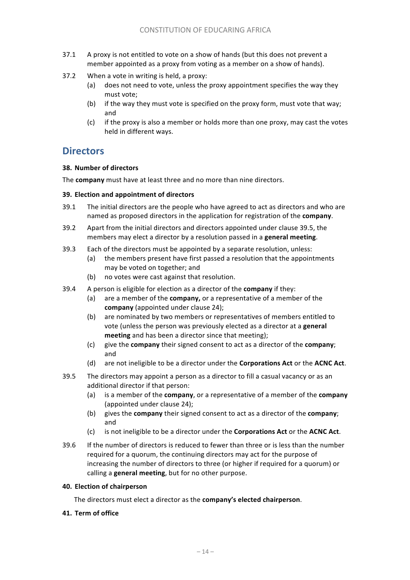- 37.1 A proxy is not entitled to vote on a show of hands (but this does not prevent a member appointed as a proxy from voting as a member on a show of hands).
- 37.2 When a vote in writing is held, a proxy:
	- (a) does not need to vote, unless the proxy appointment specifies the way they must vote:
	- (b) if the way they must vote is specified on the proxy form, must vote that way; and
	- (c) if the proxy is also a member or holds more than one proxy, may cast the votes held in different ways.

# **Directors**

### **38. Number of directors**

The **company** must have at least three and no more than nine directors.

### **39. Election and appointment of directors**

- 39.1 The initial directors are the people who have agreed to act as directors and who are named as proposed directors in the application for registration of the **company**.
- 39.2 Apart from the initial directors and directors appointed under clause 39.5, the members may elect a director by a resolution passed in a **general meeting**.
- 39.3 Each of the directors must be appointed by a separate resolution, unless:
	- (a) the members present have first passed a resolution that the appointments may be voted on together; and
	- (b) no votes were cast against that resolution.
- 39.4 A person is eligible for election as a director of the **company** if they:
	- (a) are a member of the **company**, or a representative of a member of the **company** (appointed under clause 24);
	- (b) are nominated by two members or representatives of members entitled to vote (unless the person was previously elected as a director at a **general meeting** and has been a director since that meeting);
	- (c) give the **company** their signed consent to act as a director of the **company**; and
	- (d) are not ineligible to be a director under the **Corporations Act** or the **ACNC** Act.
- 39.5 The directors may appoint a person as a director to fill a casual vacancy or as an additional director if that person:
	- (a) is a member of the **company**, or a representative of a member of the **company** (appointed under clause 24);
	- (b) gives the **company** their signed consent to act as a director of the **company**; and
	- (c) is not ineligible to be a director under the **Corporations Act** or the **ACNC Act**.
- 39.6 If the number of directors is reduced to fewer than three or is less than the number required for a quorum, the continuing directors may act for the purpose of increasing the number of directors to three (or higher if required for a quorum) or calling a **general meeting**, but for no other purpose.

### **40. Election of chairperson**

The directors must elect a director as the **company's elected chairperson**.

### **41. Term of office**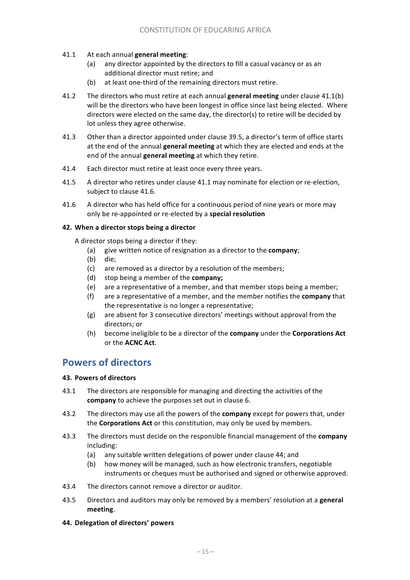### 41.1 At each annual **general meeting**:

- (a) any director appointed by the directors to fill a casual vacancy or as an additional director must retire; and
- (b) at least one-third of the remaining directors must retire.
- 41.2 The directors who must retire at each annual **general meeting** under clause 41.1(b) will be the directors who have been longest in office since last being elected. Where directors were elected on the same day, the director(s) to retire will be decided by lot unless they agree otherwise.
- 41.3 Other than a director appointed under clause 39.5, a director's term of office starts at the end of the annual **general meeting** at which they are elected and ends at the end of the annual **general meeting** at which they retire.
- 41.4 Each director must retire at least once every three years.
- 41.5 A director who retires under clause 41.1 may nominate for election or re-election, subject to clause 41.6.
- 41.6 A director who has held office for a continuous period of nine years or more may only be re-appointed or re-elected by a special resolution

### **42. When a director stops being a director**

A director stops being a director if they:

- (a) give written notice of resignation as a director to the **company**;
- (b) die;
- $(c)$  are removed as a director by a resolution of the members;
- (d) stop being a member of the **company;**
- (e) are a representative of a member, and that member stops being a member;
- (f) are a representative of a member, and the member notifies the **company** that the representative is no longer a representative;
- (g) are absent for 3 consecutive directors' meetings without approval from the directors: or
- (h) become ineligible to be a director of the **company** under the **Corporations Act** or the **ACNC** Act.

# **Powers of directors**

### **43. Powers of directors**

- 43.1 The directors are responsible for managing and directing the activities of the company to achieve the purposes set out in clause 6.
- 43.2 The directors may use all the powers of the **company** except for powers that, under the **Corporations Act** or this constitution, may only be used by members.
- 43.3 The directors must decide on the responsible financial management of the **company** including:
	- (a) any suitable written delegations of power under clause 44; and
	- (b) how money will be managed, such as how electronic transfers, negotiable instruments or cheques must be authorised and signed or otherwise approved.
- 43.4 The directors cannot remove a director or auditor.
- 43.5 Directors and auditors may only be removed by a members' resolution at a **general meeting**.

### **44. Delegation of directors' powers**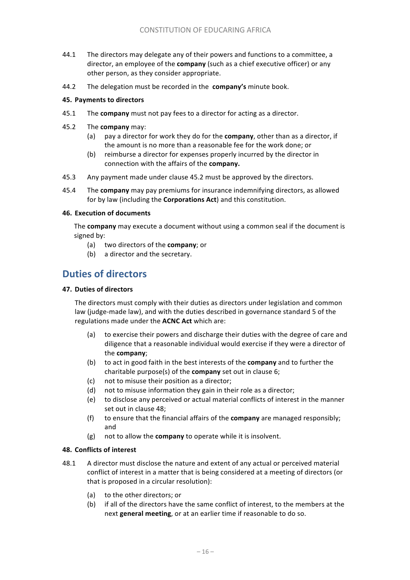- 44.1 The directors may delegate any of their powers and functions to a committee, a director, an employee of the **company** (such as a chief executive officer) or any other person, as they consider appropriate.
- 44.2 The delegation must be recorded in the **company's** minute book.

#### **45. Payments to directors**

- 45.1 The **company** must not pay fees to a director for acting as a director.
- 45.2 The **company** may:
	- (a) pay a director for work they do for the **company**, other than as a director, if the amount is no more than a reasonable fee for the work done; or
	- (b) reimburse a director for expenses properly incurred by the director in connection with the affairs of the **company.**
- 45.3 Any payment made under clause 45.2 must be approved by the directors.
- 45.4 The **company** may pay premiums for insurance indemnifying directors, as allowed for by law (including the **Corporations Act**) and this constitution.

#### **46. Execution of documents**

The **company** may execute a document without using a common seal if the document is signed by:

- (a) two directors of the **company**; or
- (b) a director and the secretary.

# **Duties of directors**

#### **47. Duties of directors**

The directors must comply with their duties as directors under legislation and common law (judge-made law), and with the duties described in governance standard 5 of the regulations made under the **ACNC Act** which are:

- (a) to exercise their powers and discharge their duties with the degree of care and diligence that a reasonable individual would exercise if they were a director of the **company**:
- (b) to act in good faith in the best interests of the **company** and to further the charitable purpose(s) of the **company** set out in clause 6;
- $(c)$  not to misuse their position as a director;
- (d) not to misuse information they gain in their role as a director;
- (e) to disclose any perceived or actual material conflicts of interest in the manner set out in clause 48;
- (f) to ensure that the financial affairs of the **company** are managed responsibly; and
- (g) not to allow the **company** to operate while it is insolvent.

### **48. Conflicts of interest**

- 48.1 A director must disclose the nature and extent of any actual or perceived material conflict of interest in a matter that is being considered at a meeting of directors (or that is proposed in a circular resolution):
	- (a) to the other directors; or
	- (b) if all of the directors have the same conflict of interest, to the members at the next **general meeting**, or at an earlier time if reasonable to do so.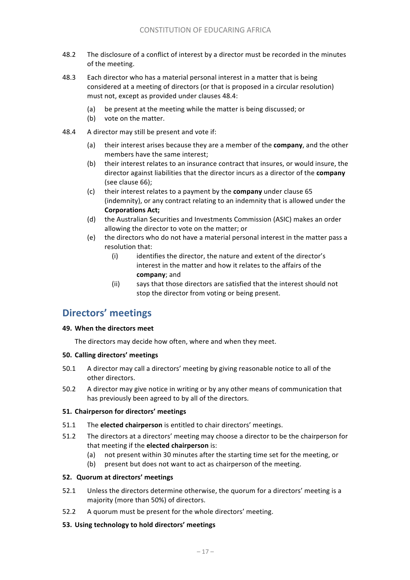- 48.2 The disclosure of a conflict of interest by a director must be recorded in the minutes of the meeting.
- 48.3 Each director who has a material personal interest in a matter that is being considered at a meeting of directors (or that is proposed in a circular resolution) must not, except as provided under clauses 48.4:
	- (a) be present at the meeting while the matter is being discussed; or
	- (b) vote on the matter.
- 48.4 A director may still be present and vote if:
	- (a) their interest arises because they are a member of the **company**, and the other members have the same interest;
	- (b) their interest relates to an insurance contract that insures, or would insure, the director against liabilities that the director incurs as a director of the **company** (see clause 66):
	- (c) their interest relates to a payment by the **company** under clause 65 (indemnity), or any contract relating to an indemnity that is allowed under the **Corporations Act;**
	- (d) the Australian Securities and Investments Commission (ASIC) makes an order allowing the director to vote on the matter; or
	- (e) the directors who do not have a material personal interest in the matter pass a resolution that:
		- (i) identifies the director, the nature and extent of the director's interest in the matter and how it relates to the affairs of the **company**; and
		- (ii) says that those directors are satisfied that the interest should not stop the director from voting or being present.

# **Directors' meetings**

### **49. When the directors meet**

The directors may decide how often, where and when they meet.

### **50. Calling directors' meetings**

- 50.1 A director may call a directors' meeting by giving reasonable notice to all of the other directors.
- 50.2 A director may give notice in writing or by any other means of communication that has previously been agreed to by all of the directors.

### **51.** Chairperson for directors' meetings

- 51.1 The **elected chairperson** is entitled to chair directors' meetings.
- 51.2 The directors at a directors' meeting may choose a director to be the chairperson for that meeting if the **elected chairperson** is:
	- (a) not present within 30 minutes after the starting time set for the meeting, or
	- (b) present but does not want to act as chairperson of the meeting.

### **52. Quorum at directors' meetings**

- 52.1 Unless the directors determine otherwise, the quorum for a directors' meeting is a majority (more than 50%) of directors.
- 52.2 A quorum must be present for the whole directors' meeting.

# **53.** Using technology to hold directors' meetings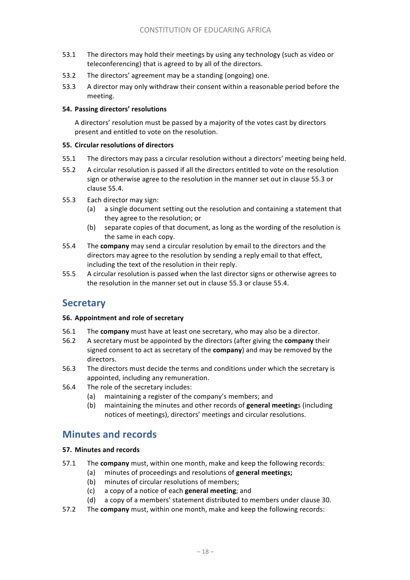- 53.1 The directors may hold their meetings by using any technology (such as video or teleconferencing) that is agreed to by all of the directors.
- 53.2 The directors' agreement may be a standing (ongoing) one.
- 53.3 A director may only withdraw their consent within a reasonable period before the meeting.

### **54. Passing directors' resolutions**

A directors' resolution must be passed by a majority of the votes cast by directors present and entitled to vote on the resolution.

#### **55. Circular resolutions of directors**

- 55.1 The directors may pass a circular resolution without a directors' meeting being held.
- 55.2 A circular resolution is passed if all the directors entitled to vote on the resolution sign or otherwise agree to the resolution in the manner set out in clause 55.3 or clause 55.4.
- 55.3 Each director may sign:
	- (a) a single document setting out the resolution and containing a statement that they agree to the resolution; or
	- (b) separate copies of that document, as long as the wording of the resolution is the same in each copy.
- 55.4 The **company** may send a circular resolution by email to the directors and the directors may agree to the resolution by sending a reply email to that effect, including the text of the resolution in their reply.
- 55.5 A circular resolution is passed when the last director signs or otherwise agrees to the resolution in the manner set out in clause 55.3 or clause 55.4.

# **Secretary**

### **56. Appointment and role of secretary**

- 56.1 The **company** must have at least one secretary, who may also be a director.
- 56.2 A secretary must be appointed by the directors (after giving the **company** their signed consent to act as secretary of the **company**) and may be removed by the directors.
- 56.3 The directors must decide the terms and conditions under which the secretary is appointed, including any remuneration.
- 56.4 The role of the secretary includes:
	- (a) maintaining a register of the company's members; and
	- (b) maintaining the minutes and other records of **general meeting**s (including notices of meetings), directors' meetings and circular resolutions.

# **Minutes and records**

### **57. Minutes and records**

- 57.1 The **company** must, within one month, make and keep the following records:
	- (a) minutes of proceedings and resolutions of **general meetings;**
	- (b) minutes of circular resolutions of members:
	- (c) a copy of a notice of each **general meeting**; and
	- (d) a copy of a members' statement distributed to members under clause 30.
- 57.2 The **company** must, within one month, make and keep the following records: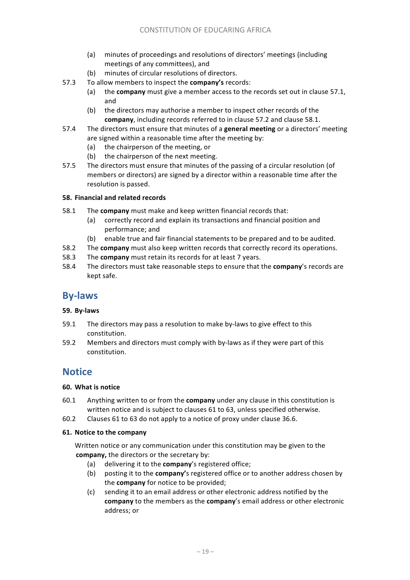- (a) minutes of proceedings and resolutions of directors' meetings (including meetings of any committees), and
- (b) minutes of circular resolutions of directors.
- 57.3 To allow members to inspect the **company's** records:
	- (a) the **company** must give a member access to the records set out in clause 57.1, and
	- (b) the directors may authorise a member to inspect other records of the **company**, including records referred to in clause 57.2 and clause 58.1.
- 57.4 The directors must ensure that minutes of a **general meeting** or a directors' meeting are signed within a reasonable time after the meeting by:
	- (a) the chairperson of the meeting, or
	- $(b)$  the chairperson of the next meeting.
- 57.5 The directors must ensure that minutes of the passing of a circular resolution (of members or directors) are signed by a director within a reasonable time after the resolution is passed.

### **58. Financial and related records**

- 58.1 The **company** must make and keep written financial records that:
	- (a) correctly record and explain its transactions and financial position and performance; and
	- (b) enable true and fair financial statements to be prepared and to be audited.
- 58.2 The **company** must also keep written records that correctly record its operations.
- 58.3 The **company** must retain its records for at least 7 years.
- 58.4 The directors must take reasonable steps to ensure that the **company**'s records are kept safe.

# **By-laws**

### **59. By-laws**

- 59.1 The directors may pass a resolution to make by-laws to give effect to this constitution.
- 59.2 Members and directors must comply with by-laws as if they were part of this constitution.

# **Notice**

### **60. What is notice**

- 60.1 Anything written to or from the **company** under any clause in this constitution is written notice and is subject to clauses 61 to 63, unless specified otherwise.
- 60.2 Clauses 61 to 63 do not apply to a notice of proxy under clause 36.6.

### **61.** Notice to the company

Written notice or any communication under this constitution may be given to the **company,** the directors or the secretary by:

- (a) delivering it to the **company**'s registered office;
- (b) posting it to the **company'**s registered office or to another address chosen by the **company** for notice to be provided;
- (c) sending it to an email address or other electronic address notified by the **company** to the members as the **company**'s email address or other electronic address: or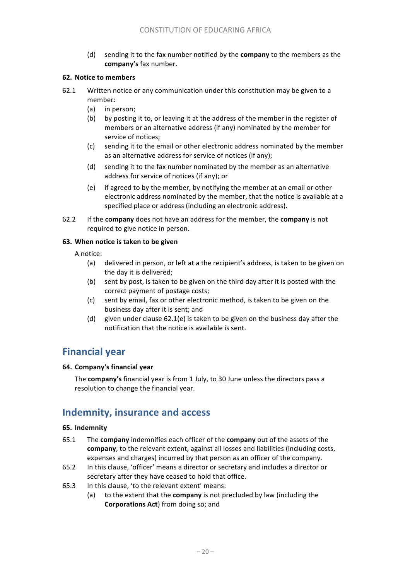(d) sending it to the fax number notified by the **company** to the members as the company's fax number.

### **62. Notice to members**

- 62.1 Written notice or any communication under this constitution may be given to a member:
	- (a) in person;
	- (b) by posting it to, or leaving it at the address of the member in the register of members or an alternative address (if any) nominated by the member for service of notices;
	- (c) sending it to the email or other electronic address nominated by the member as an alternative address for service of notices (if any);
	- (d) sending it to the fax number nominated by the member as an alternative address for service of notices (if any); or
	- (e) if agreed to by the member, by notifying the member at an email or other electronic address nominated by the member, that the notice is available at a specified place or address (including an electronic address).
- 62.2 If the **company** does not have an address for the member, the **company** is not required to give notice in person.

### **63. When notice is taken to be given**

A notice:

- (a) delivered in person, or left at a the recipient's address, is taken to be given on the day it is delivered;
- (b) sent by post, is taken to be given on the third day after it is posted with the correct payment of postage costs;
- (c) sent by email, fax or other electronic method, is taken to be given on the business day after it is sent; and
- (d) given under clause  $62.1(e)$  is taken to be given on the business day after the notification that the notice is available is sent.

# **Financial year**

### **64. Company's financial year**

The **company's** financial year is from 1 July, to 30 June unless the directors pass a resolution to change the financial year.

# **Indemnity, insurance and access**

### **65. Indemnity**

- 65.1 The **company** indemnifies each officer of the **company** out of the assets of the company, to the relevant extent, against all losses and liabilities (including costs, expenses and charges) incurred by that person as an officer of the company.
- 65.2 In this clause, 'officer' means a director or secretary and includes a director or secretary after they have ceased to hold that office.
- 65.3 In this clause, 'to the relevant extent' means:
	- (a) to the extent that the **company** is not precluded by law (including the **Corporations Act**) from doing so; and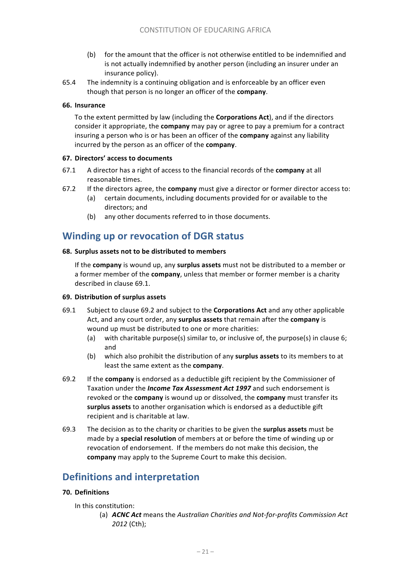- (b) for the amount that the officer is not otherwise entitled to be indemnified and is not actually indemnified by another person (including an insurer under an insurance policy).
- 65.4 The indemnity is a continuing obligation and is enforceable by an officer even though that person is no longer an officer of the **company**.

### **66. Insurance**

To the extent permitted by law (including the **Corporations Act**), and if the directors consider it appropriate, the **company** may pay or agree to pay a premium for a contract insuring a person who is or has been an officer of the **company** against any liability incurred by the person as an officer of the **company**.

### **67. Directors' access to documents**

- 67.1 A director has a right of access to the financial records of the **company** at all reasonable times.
- 67.2 If the directors agree, the **company** must give a director or former director access to:
	- (a) certain documents, including documents provided for or available to the directors; and
	- (b) any other documents referred to in those documents.

# **Winding up or revocation of DGR status**

### **68. Surplus assets not to be distributed to members**

If the **company** is wound up, any **surplus** assets must not be distributed to a member or a former member of the **company**, unless that member or former member is a charity described in clause 69.1.

### **69. Distribution of surplus assets**

- 69.1 Subject to clause 69.2 and subject to the **Corporations Act** and any other applicable Act, and any court order, any **surplus assets** that remain after the **company** is wound up must be distributed to one or more charities:
	- (a) with charitable purpose(s) similar to, or inclusive of, the purpose(s) in clause 6; and
	- (b) which also prohibit the distribution of any **surplus assets** to its members to at least the same extent as the **company**.
- 69.2 If the **company** is endorsed as a deductible gift recipient by the Commissioner of Taxation under the *Income Tax Assessment Act 1997* and such endorsement is revoked or the **company** is wound up or dissolved, the **company** must transfer its surplus assets to another organisation which is endorsed as a deductible gift recipient and is charitable at law.
- 69.3 The decision as to the charity or charities to be given the **surplus assets** must be made by a **special resolution** of members at or before the time of winding up or revocation of endorsement. If the members do not make this decision, the **company** may apply to the Supreme Court to make this decision.

# **Definitions and interpretation**

# **70. Definitions**

In this constitution:

(a) **ACNC Act** means the Australian Charities and Not-for-profits Commission Act *2012* (Cth);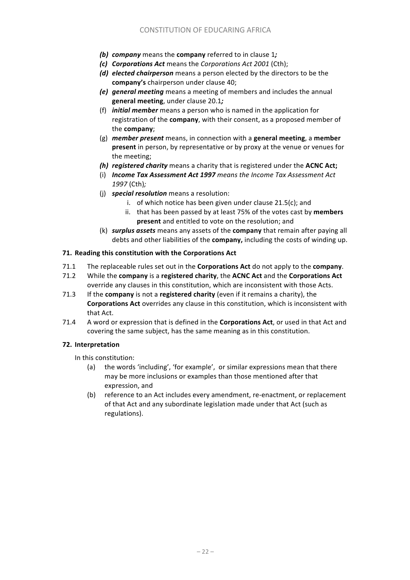- *(b) company* means the **company** referred to in clause 1;
- *(c) Corporations Act* means the *Corporations Act 2001* (Cth);
- *(d) elected chairperson* means a person elected by the directors to be the **company's** chairperson under clause 40:
- *(e) general meeting* means a meeting of members and includes the annual **general meeting**, under clause 20.1;
- (f) *initial member* means a person who is named in the application for registration of the **company**, with their consent, as a proposed member of the **company**;
- (g) **member present** means, in connection with a **general meeting**, a **member present** in person, by representative or by proxy at the venue or venues for the meeting:
- **(h)** registered charity means a charity that is registered under the ACNC Act;
- (i) **Income Tax Assessment Act 1997** means the Income Tax Assessment Act *1997* (Cth)*;*
- (i) *special resolution* means a resolution:
	- i. of which notice has been given under clause  $21.5(c)$ ; and
	- ii. that has been passed by at least 75% of the votes cast by members present and entitled to vote on the resolution; and
- (k) *surplus assets* means any assets of the **company** that remain after paying all debts and other liabilities of the **company**, including the costs of winding up.

### **71.** Reading this constitution with the Corporations Act

- 71.1 The replaceable rules set out in the **Corporations Act** do not apply to the **company**.
- 71.2 While the **company** is a registered charity, the ACNC Act and the Corporations Act override any clauses in this constitution, which are inconsistent with those Acts.
- 71.3 If the **company** is not a registered charity (even if it remains a charity), the **Corporations Act** overrides any clause in this constitution, which is inconsistent with that Act.
- 71.4 A word or expression that is defined in the **Corporations Act**, or used in that Act and covering the same subject, has the same meaning as in this constitution.

### **72. Interpretation**

In this constitution:

- (a) the words 'including', 'for example', or similar expressions mean that there may be more inclusions or examples than those mentioned after that expression, and
- (b) reference to an Act includes every amendment, re-enactment, or replacement of that Act and any subordinate legislation made under that Act (such as regulations).